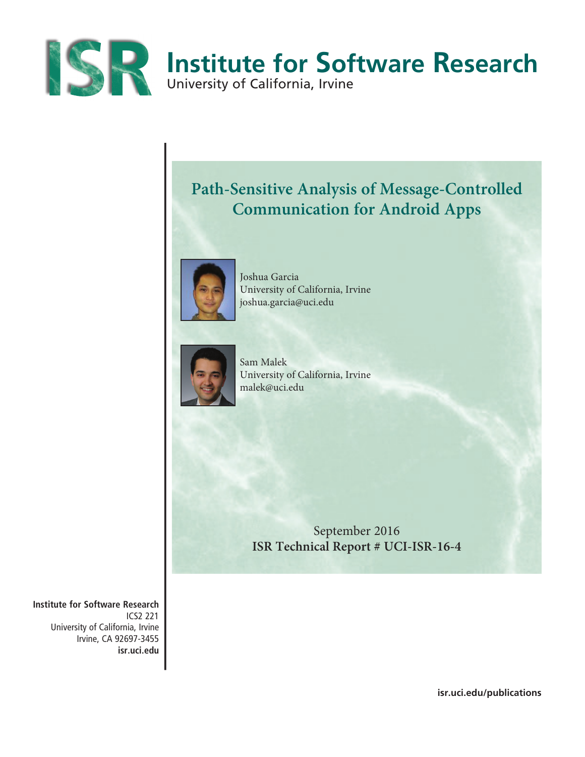

## **Path-Sensitive Analysis of Message-Controlled Communication for Android Apps**



Joshua Garcia University of California, Irvine joshua.garcia@uci.edu



Sam Malek University of California, Irvine malek@uci.edu

September 2016 **ISR Technical Report # UCI-ISR-16-4**

**Institute for Software Research** ICS2 221 University of California, Irvine Irvine, CA 92697-3455 **isr.uci.edu**

**isr.uci.edu/publications**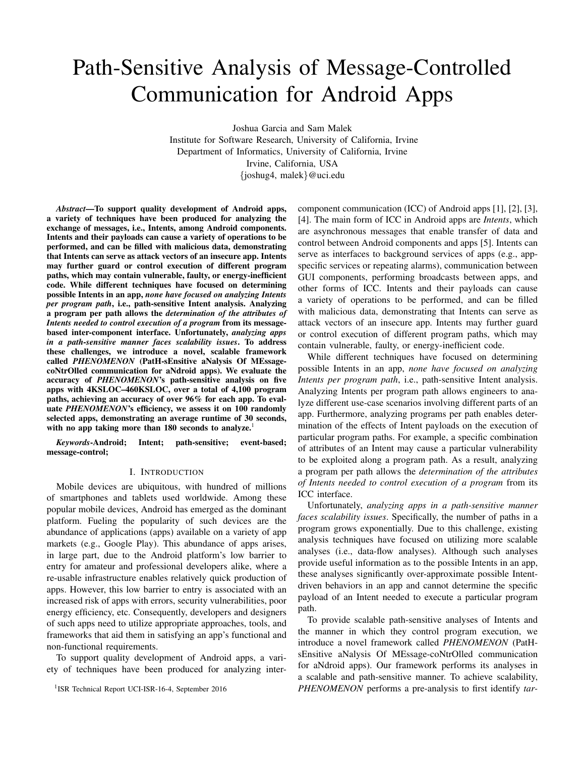# Path-Sensitive Analysis of Message-Controlled Communication for Android Apps

Joshua Garcia and Sam Malek

Institute for Software Research, University of California, Irvine Department of Informatics, University of California, Irvine Irvine, California, USA {joshug4, malek}@uci.edu

*Abstract*—To support quality development of Android apps, a variety of techniques have been produced for analyzing the exchange of messages, i.e., Intents, among Android components. Intents and their payloads can cause a variety of operations to be performed, and can be filled with malicious data, demonstrating that Intents can serve as attack vectors of an insecure app. Intents may further guard or control execution of different program paths, which may contain vulnerable, faulty, or energy-inefficient code. While different techniques have focused on determining possible Intents in an app, *none have focused on analyzing Intents per program path*, i.e., path-sensitive Intent analysis. Analyzing a program per path allows the *determination of the attributes of Intents needed to control execution of a program* from its messagebased inter-component interface. Unfortunately, *analyzing apps in a path-sensitive manner faces scalability issues*. To address these challenges, we introduce a novel, scalable framework called *PHENOMENON* (PatH-sEnsitive aNalysis Of MEssagecoNtrOlled communication for aNdroid apps). We evaluate the accuracy of *PHENOMENON*'s path-sensitive analysis on five apps with 4KSLOC–460KSLOC, over a total of 4,100 program paths, achieving an accuracy of over 96% for each app. To evaluate *PHENOMENON*'s efficiency, we assess it on 100 randomly selected apps, demonstrating an average runtime of 30 seconds, with no app taking more than 180 seconds to analyze.<sup>1</sup>

*Keywords*-Android; Intent; path-sensitive; event-based; message-control;

## I. INTRODUCTION

Mobile devices are ubiquitous, with hundred of millions of smartphones and tablets used worldwide. Among these popular mobile devices, Android has emerged as the dominant platform. Fueling the popularity of such devices are the abundance of applications (apps) available on a variety of app markets (e.g., Google Play). This abundance of apps arises, in large part, due to the Android platform's low barrier to entry for amateur and professional developers alike, where a re-usable infrastructure enables relatively quick production of apps. However, this low barrier to entry is associated with an increased risk of apps with errors, security vulnerabilities, poor energy efficiency, etc. Consequently, developers and designers of such apps need to utilize appropriate approaches, tools, and frameworks that aid them in satisfying an app's functional and non-functional requirements.

To support quality development of Android apps, a variety of techniques have been produced for analyzing inter-

<sup>1</sup>ISR Technical Report UCI-ISR-16-4, September 2016

component communication (ICC) of Android apps [1], [2], [3], [4]. The main form of ICC in Android apps are *Intents*, which are asynchronous messages that enable transfer of data and control between Android components and apps [5]. Intents can serve as interfaces to background services of apps (e.g., appspecific services or repeating alarms), communication between GUI components, performing broadcasts between apps, and other forms of ICC. Intents and their payloads can cause a variety of operations to be performed, and can be filled with malicious data, demonstrating that Intents can serve as attack vectors of an insecure app. Intents may further guard or control execution of different program paths, which may contain vulnerable, faulty, or energy-inefficient code.

While different techniques have focused on determining possible Intents in an app, *none have focused on analyzing Intents per program path*, i.e., path-sensitive Intent analysis. Analyzing Intents per program path allows engineers to analyze different use-case scenarios involving different parts of an app. Furthermore, analyzing programs per path enables determination of the effects of Intent payloads on the execution of particular program paths. For example, a specific combination of attributes of an Intent may cause a particular vulnerability to be exploited along a program path. As a result, analyzing a program per path allows the *determination of the attributes of Intents needed to control execution of a program* from its ICC interface.

Unfortunately, *analyzing apps in a path-sensitive manner faces scalability issues*. Specifically, the number of paths in a program grows exponentially. Due to this challenge, existing analysis techniques have focused on utilizing more scalable analyses (i.e., data-flow analyses). Although such analyses provide useful information as to the possible Intents in an app, these analyses significantly over-approximate possible Intentdriven behaviors in an app and cannot determine the specific payload of an Intent needed to execute a particular program path.

To provide scalable path-sensitive analyses of Intents and the manner in which they control program execution, we introduce a novel framework called *PHENOMENON* (PatHsEnsitive aNalysis Of MEssage-coNtrOlled communication for aNdroid apps). Our framework performs its analyses in a scalable and path-sensitive manner. To achieve scalability, *PHENOMENON* performs a pre-analysis to first identify *tar-*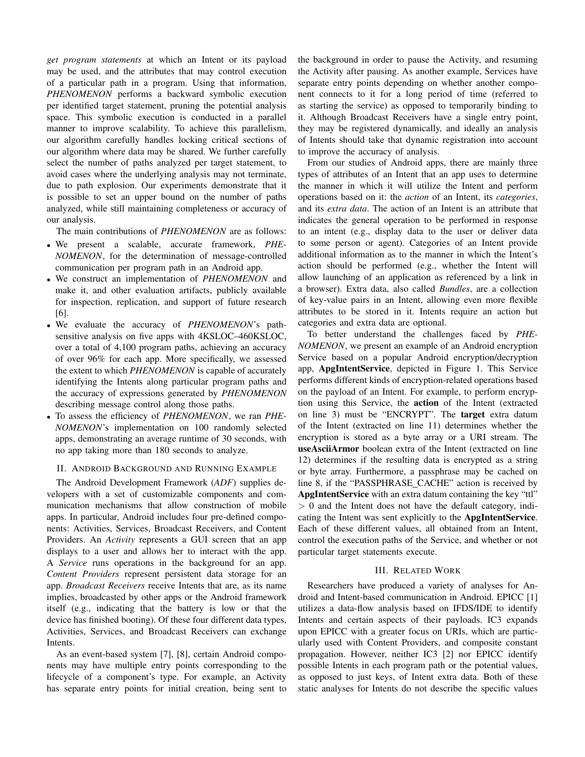*get program statements* at which an Intent or its payload may be used, and the attributes that may control execution of a particular path in a program. Using that information, *PHENOMENON* performs a backward symbolic execution per identified target statement, pruning the potential analysis space. This symbolic execution is conducted in a parallel manner to improve scalability. To achieve this parallelism, our algorithm carefully handles locking critical sections of our algorithm where data may be shared. We further carefully select the number of paths analyzed per target statement, to avoid cases where the underlying analysis may not terminate, due to path explosion. Our experiments demonstrate that it is possible to set an upper bound on the number of paths analyzed, while still maintaining completeness or accuracy of our analysis.

The main contributions of *PHENOMENON* are as follows:

- We present a scalable, accurate framework, *PHE-NOMENON*, for the determination of message-controlled communication per program path in an Android app.
- We construct an implementation of *PHENOMENON* and make it, and other evaluation artifacts, publicly available for inspection, replication, and support of future research [6].
- We evaluate the accuracy of *PHENOMENON*'s pathsensitive analysis on five apps with 4KSLOC–460KSLOC, over a total of 4,100 program paths, achieving an accuracy of over 96% for each app. More specifically, we assessed the extent to which *PHENOMENON* is capable of accurately identifying the Intents along particular program paths and the accuracy of expressions generated by *PHENOMENON* describing message control along those paths.
- To assess the efficiency of *PHENOMENON*, we ran *PHE-NOMENON*'s implementation on 100 randomly selected apps, demonstrating an average runtime of 30 seconds, with no app taking more than 180 seconds to analyze.

## II. ANDROID BACKGROUND AND RUNNING EXAMPLE

The Android Development Framework (*ADF*) supplies developers with a set of customizable components and communication mechanisms that allow construction of mobile apps. In particular, Android includes four pre-defined components: Activities, Services, Broadcast Receivers, and Content Providers. An *Activity* represents a GUI screen that an app displays to a user and allows her to interact with the app. A *Service* runs operations in the background for an app. *Content Providers* represent persistent data storage for an app. *Broadcast Receivers* receive Intents that are, as its name implies, broadcasted by other apps or the Android framework itself (e.g., indicating that the battery is low or that the device has finished booting). Of these four different data types, Activities, Services, and Broadcast Receivers can exchange Intents.

As an event-based system [7], [8], certain Android components may have multiple entry points corresponding to the lifecycle of a component's type. For example, an Activity has separate entry points for initial creation, being sent to the background in order to pause the Activity, and resuming the Activity after pausing. As another example, Services have separate entry points depending on whether another component connects to it for a long period of time (referred to as starting the service) as opposed to temporarily binding to it. Although Broadcast Receivers have a single entry point, they may be registered dynamically, and ideally an analysis of Intents should take that dynamic registration into account to improve the accuracy of analysis.

From our studies of Android apps, there are mainly three types of attributes of an Intent that an app uses to determine the manner in which it will utilize the Intent and perform operations based on it: the *action* of an Intent, its *categories*, and its *extra data*. The action of an Intent is an attribute that indicates the general operation to be performed in response to an intent (e.g., display data to the user or deliver data to some person or agent). Categories of an Intent provide additional information as to the manner in which the Intent's action should be performed (e.g., whether the Intent will allow launching of an application as referenced by a link in a browser). Extra data, also called *Bundles*, are a collection of key-value pairs in an Intent, allowing even more flexible attributes to be stored in it. Intents require an action but categories and extra data are optional.

To better understand the challenges faced by *PHE-NOMENON*, we present an example of an Android encryption Service based on a popular Android encryption/decryption app, ApgIntentService, depicted in Figure 1. This Service performs different kinds of encryption-related operations based on the payload of an Intent. For example, to perform encryption using this Service, the action of the Intent (extracted on line 3) must be "ENCRYPT". The target extra datum of the Intent (extracted on line 11) determines whether the encryption is stored as a byte array or a URI stream. The useAsciiArmor boolean extra of the Intent (extracted on line 12) determines if the resulting data is encrypted as a string or byte array. Furthermore, a passphrase may be cached on line 8, if the "PASSPHRASE CACHE" action is received by ApgIntentService with an extra datum containing the key "ttl"  $> 0$  and the Intent does not have the default category, indicating the Intent was sent explicitly to the ApgIntentService. Each of these different values, all obtained from an Intent, control the execution paths of the Service, and whether or not particular target statements execute.

## III. RELATED WORK

Researchers have produced a variety of analyses for Android and Intent-based communication in Android. EPICC [1] utilizes a data-flow analysis based on IFDS/IDE to identify Intents and certain aspects of their payloads. IC3 expands upon EPICC with a greater focus on URIs, which are particularly used with Content Providers, and composite constant propagation. However, neither IC3 [2] nor EPICC identify possible Intents in each program path or the potential values, as opposed to just keys, of Intent extra data. Both of these static analyses for Intents do not describe the specific values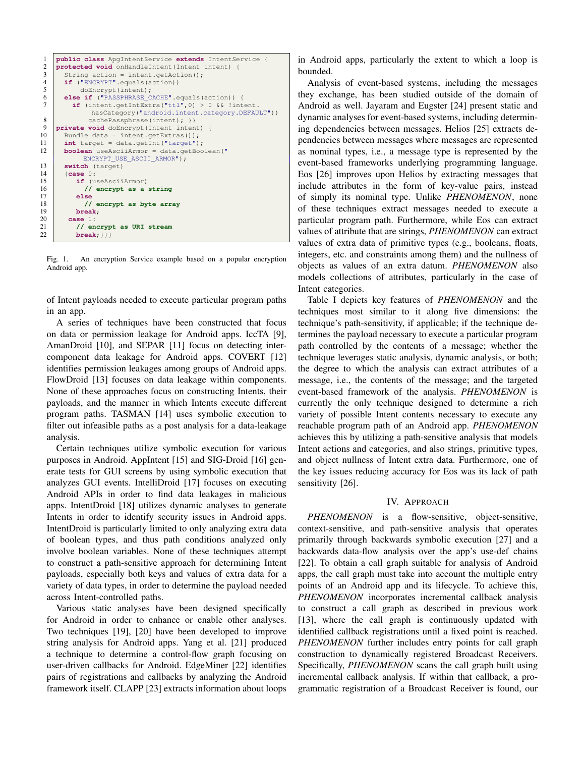| 1<br>$\mathfrak{2}$ | public class ApgIntentService extends IntentService {<br>protected void onHandleIntent (Intent intent) { |
|---------------------|----------------------------------------------------------------------------------------------------------|
| 3                   | String action = intent.getAction();                                                                      |
| $\overline{4}$      | $if$ ("ENCRYPT".equals(action))                                                                          |
| 5                   | doEncrypt(intent);                                                                                       |
| 6                   | else if ("PASSPHRASE_CACHE".equals(action)) {                                                            |
| 7                   | if (intent.getIntExtra("ttl", 0) > $0$ && !intent.                                                       |
|                     |                                                                                                          |
|                     | hasCategory("android.intent.category.DEFAULT"))                                                          |
| 8                   | cachePassphrase(intent); } }                                                                             |
| 9                   | private void doEncrypt (Intent intent) {                                                                 |
| 10                  | Bundle data = intent.getExtras());                                                                       |
| 11                  | $int target = data.getInt("target");$                                                                    |
| 12                  | <b>boolean</b> useAsciiArmor = data.getBoolean("                                                         |
|                     | ENCRYPT_USE_ASCII_ARMOR");                                                                               |
| 13                  | switch (target)                                                                                          |
| 14                  | [case 0:                                                                                                 |
| 15                  | if (useAsciiArmor)                                                                                       |
| 16                  | // encrypt as a string                                                                                   |
| 17                  | else                                                                                                     |
| 18                  | // encrypt as byte array                                                                                 |
| 19                  | break;                                                                                                   |
| 20                  | case $1:$                                                                                                |
| 21                  | // encrypt as URI stream                                                                                 |
| 22                  | $break;$ $\}$                                                                                            |
|                     |                                                                                                          |

Fig. 1. An encryption Service example based on a popular encryption Android app.

of Intent payloads needed to execute particular program paths in an app.

A series of techniques have been constructed that focus on data or permission leakage for Android apps. IccTA [9], AmanDroid [10], and SEPAR [11] focus on detecting intercomponent data leakage for Android apps. COVERT [12] identifies permission leakages among groups of Android apps. FlowDroid [13] focuses on data leakage within components. None of these approaches focus on constructing Intents, their payloads, and the manner in which Intents execute different program paths. TASMAN [14] uses symbolic execution to filter out infeasible paths as a post analysis for a data-leakage analysis.

Certain techniques utilize symbolic execution for various purposes in Android. AppIntent [15] and SIG-Droid [16] generate tests for GUI screens by using symbolic execution that analyzes GUI events. IntelliDroid [17] focuses on executing Android APIs in order to find data leakages in malicious apps. IntentDroid [18] utilizes dynamic analyses to generate Intents in order to identify security issues in Android apps. IntentDroid is particularly limited to only analyzing extra data of boolean types, and thus path conditions analyzed only involve boolean variables. None of these techniques attempt to construct a path-sensitive approach for determining Intent payloads, especially both keys and values of extra data for a variety of data types, in order to determine the payload needed across Intent-controlled paths.

Various static analyses have been designed specifically for Android in order to enhance or enable other analyses. Two techniques [19], [20] have been developed to improve string analysis for Android apps. Yang et al. [21] produced a technique to determine a control-flow graph focusing on user-driven callbacks for Android. EdgeMiner [22] identifies pairs of registrations and callbacks by analyzing the Android framework itself. CLAPP [23] extracts information about loops in Android apps, particularly the extent to which a loop is bounded.

Analysis of event-based systems, including the messages they exchange, has been studied outside of the domain of Android as well. Jayaram and Eugster [24] present static and dynamic analyses for event-based systems, including determining dependencies between messages. Helios [25] extracts dependencies between messages where messages are represented as nominal types, i.e., a message type is represented by the event-based frameworks underlying programming language. Eos [26] improves upon Helios by extracting messages that include attributes in the form of key-value pairs, instead of simply its nominal type. Unlike *PHENOMENON*, none of these techniques extract messages needed to execute a particular program path. Furthermore, while Eos can extract values of attribute that are strings, *PHENOMENON* can extract values of extra data of primitive types (e.g., booleans, floats, integers, etc. and constraints among them) and the nullness of objects as values of an extra datum. *PHENOMENON* also models collections of attributes, particularly in the case of Intent categories.

Table I depicts key features of *PHENOMENON* and the techniques most similar to it along five dimensions: the technique's path-sensitivity, if applicable; if the technique determines the payload necessary to execute a particular program path controlled by the contents of a message; whether the technique leverages static analysis, dynamic analysis, or both; the degree to which the analysis can extract attributes of a message, i.e., the contents of the message; and the targeted event-based framework of the analysis. *PHENOMENON* is currently the only technique designed to determine a rich variety of possible Intent contents necessary to execute any reachable program path of an Android app. *PHENOMENON* achieves this by utilizing a path-sensitive analysis that models Intent actions and categories, and also strings, primitive types, and object nullness of Intent extra data. Furthermore, one of the key issues reducing accuracy for Eos was its lack of path sensitivity [26].

## IV. APPROACH

*PHENOMENON* is a flow-sensitive, object-sensitive, context-sensitive, and path-sensitive analysis that operates primarily through backwards symbolic execution [27] and a backwards data-flow analysis over the app's use-def chains [22]. To obtain a call graph suitable for analysis of Android apps, the call graph must take into account the multiple entry points of an Android app and its lifecycle. To achieve this, *PHENOMENON* incorporates incremental callback analysis to construct a call graph as described in previous work [13], where the call graph is continuously updated with identified callback registrations until a fixed point is reached. *PHENOMENON* further includes entry points for call graph construction to dynamically registered Broadcast Receivers. Specifically, *PHENOMENON* scans the call graph built using incremental callback analysis. If within that callback, a programmatic registration of a Broadcast Receiver is found, our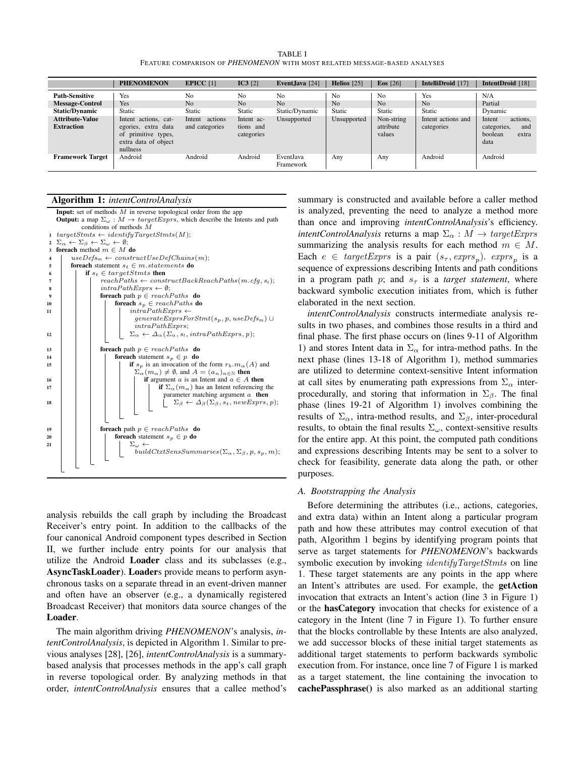TABLE I FEATURE COMPARISON OF *PHENOMENON* WITH MOST RELATED MESSAGE-BASED ANALYSES

|                                             | <b>PHENOMENON</b>                                                                                         | EPICC $[1]$                         | IC3 [2]                               | Event, Java $[24]$     | Helios $[25]$  | Eos $[26]$                        | IntelliDroid [17]                | IntentDroid [18]                                                     |
|---------------------------------------------|-----------------------------------------------------------------------------------------------------------|-------------------------------------|---------------------------------------|------------------------|----------------|-----------------------------------|----------------------------------|----------------------------------------------------------------------|
| <b>Path-Sensitive</b>                       | Yes                                                                                                       | N <sub>0</sub>                      | N <sub>0</sub>                        | No                     | N <sub>0</sub> | No                                | Yes                              | N/A                                                                  |
| <b>Message-Control</b>                      | Yes                                                                                                       | N <sub>0</sub>                      | N <sub>0</sub>                        | N <sub>0</sub>         | N <sub>o</sub> | N <sub>o</sub>                    | N <sub>o</sub>                   | Partial                                                              |
| <b>Static/Dynamic</b>                       | Static                                                                                                    | Static                              | Static                                | Static/Dynamic         | Static         | <b>Static</b>                     | Static                           | Dynamic                                                              |
| <b>Attribute-Value</b><br><b>Extraction</b> | Intent actions, cat-<br>egories, extra data<br>primitive types,<br>of<br>extra data of object<br>nullness | actions<br>Intent<br>and categories | Intent ac-<br>tions and<br>categories | Unsupported            | Unsupported    | Non-string<br>attribute<br>values | Intent actions and<br>categories | actions.<br>Intent<br>categories,<br>and<br>boolean<br>extra<br>data |
| <b>Framework Target</b>                     | Android                                                                                                   | Android                             | Android                               | EventJava<br>Framework | Any            | Any                               | Android                          | Android                                                              |

## Algorithm 1: *intentControlAnalysis*

**Input:** set of methods  $M$  in reverse topological order from the app **Output:** a map  $\Sigma_{\omega}$  :  $M \rightarrow targetExpress$ , which describe the Intents and path conditions of methods M 1  $targetStmts \leftarrow identityTargetStmts(M);$ 2  $\Sigma_{\alpha} \leftarrow \Sigma_{\beta} \leftarrow \Sigma_{\omega} \leftarrow \emptyset;$ 3 foreach method  $m \in M$  do 4 use $DefS_m \leftarrow constructUseDefChains(m);$ <br>5 foreach statement  $s_t \in m$ .statements do foreach statement  $s_t \in m.startements$  do 6 if  $s_t \in \text{targetSt}$  then  $\begin{array}{c|c|c|c} \hline \end{array}$  reachPaths  $\leftarrow constructBackReachPaths(m.cfg, s_t);$  $\begin{array}{c|c|c|c|c} \mathbf{s} & \mathbf{intraPathExpress} \leftarrow \emptyset; \end{array}$ 9  $\vert$   $\vert$  foreach path  $p \in reachPaths$  do 10  $\Big|$  foreach  $s_p \in reachPaths$  do 11 | | |  $intraPathExpress \leftarrow$  $generate Express For Stmt(s_p, p, use Defs_m) \cup$ intraPathExprs; <sup>12</sup> Σ<sup>α</sup> ← ∆α(Σα, st, intraPathExprs, p); 13 **foreach** path  $p \in reachPaths$  **do** 14  $\vert$  foreach statement  $s_p \in p$  do 15  $\left|\right|$   $\left|\right|$  if  $s_p$  is an invocation of the form  $r_b.m_\alpha(A)$  and  $\sum_{\alpha}^{\cdot} (m_{\alpha}) \neq \emptyset$ , and  $A = (a_n)_{n \in \mathbb{N}}$  then 16 if argument a is an Intent and  $a \in A$  then 17 | | | | if  $\Sigma_{\alpha}(m_{\alpha})$  has an Intent referencing the parameter matching argument  $a$  then 18 | | | | | |  $\sum_{\beta} \leftarrow \Delta_{\beta}(\Sigma_{\beta}, s_t, newExpress, p);$ 19 | **foreach** path  $p \in reachPaths$  **do** 20 for each statement  $s_p \in p$  do <br>  $\sum_{p}$  $\Sigma_{\omega}$   $\leftarrow$ buildCtxtSensSummaries( $\Sigma_{\alpha}$ ,  $\Sigma_{\beta}$ , p, s<sub>p</sub>, m);

analysis rebuilds the call graph by including the Broadcast Receiver's entry point. In addition to the callbacks of the four canonical Android component types described in Section II, we further include entry points for our analysis that utilize the Android Loader class and its subclasses (e.g., AsyncTaskLoader). Loaders provide means to perform asynchronous tasks on a separate thread in an event-driven manner and often have an observer (e.g., a dynamically registered Broadcast Receiver) that monitors data source changes of the Loader.

The main algorithm driving *PHENOMENON*'s analysis, *intentControlAnalysis*, is depicted in Algorithm 1. Similar to previous analyses [28], [26], *intentControlAnalysis* is a summarybased analysis that processes methods in the app's call graph in reverse topological order. By analyzing methods in that order, *intentControlAnalysis* ensures that a callee method's

summary is constructed and available before a caller method is analyzed, preventing the need to analyze a method more than once and improving *intentControlAnalysis*'s efficiency. *intentControlAnalysis* returns a map  $\Sigma_{\alpha}: M \rightarrow targetExpress$ summarizing the analysis results for each method  $m \in M$ . Each  $e \in targetExpress$  is a pair  $(s_\tau, express_p)$ .  $express_p$  is a sequence of expressions describing Intents and path conditions in a program path p; and  $s<sub>\tau</sub>$  is a *target statement*, where backward symbolic execution initiates from, which is futher elaborated in the next section.

*intentControlAnalysis* constructs intermediate analysis results in two phases, and combines those results in a third and final phase. The first phase occurs on (lines 9-11 of Algorithm 1) and stores Intent data in  $\Sigma_{\alpha}$  for intra-method paths. In the next phase (lines 13-18 of Algorithm 1), method summaries are utilized to determine context-sensitive Intent information at call sites by enumerating path expressions from  $\Sigma_{\alpha}$  interprocedurally, and storing that information in  $\Sigma_{\beta}$ . The final phase (lines 19-21 of Algorithm 1) involves combining the results of  $\Sigma_{\alpha}$ , intra-method results, and  $\Sigma_{\beta}$ , inter-procedural results, to obtain the final results  $\Sigma_{\omega}$ , context-sensitive results for the entire app. At this point, the computed path conditions and expressions describing Intents may be sent to a solver to check for feasibility, generate data along the path, or other purposes.

## *A. Bootstrapping the Analysis*

Before determining the attributes (i.e., actions, categories, and extra data) within an Intent along a particular program path and how these attributes may control execution of that path, Algorithm 1 begins by identifying program points that serve as target statements for *PHENOMENON*'s backwards symbolic execution by invoking *identifyTargetStmts* on line 1. These target statements are any points in the app where an Intent's attributes are used. For example, the getAction invocation that extracts an Intent's action (line 3 in Figure 1) or the hasCategory invocation that checks for existence of a category in the Intent (line 7 in Figure 1). To further ensure that the blocks controllable by these Intents are also analyzed, we add successor blocks of these initial target statements as additional target statements to perform backwards symbolic execution from. For instance, once line 7 of Figure 1 is marked as a target statement, the line containing the invocation to cachePassphrase() is also marked as an additional starting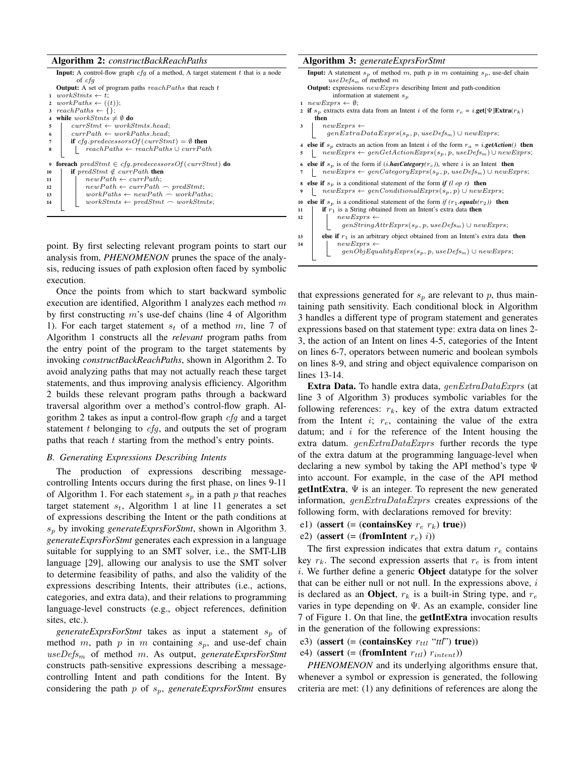|                  | <b>Algorithm 2:</b> <i>constructBackReachPaths</i>                                        |
|------------------|-------------------------------------------------------------------------------------------|
|                  | <b>Input:</b> A control-flow graph $cfq$ of a method, A target statement t that is a node |
|                  | of cfq                                                                                    |
|                  | <b>Output:</b> A set of program paths $reachPaths$ that reach t                           |
|                  | $1 \text{ workSt} \leftarrow t$ :                                                         |
|                  | 2 workPaths $\leftarrow ((t))$ ;                                                          |
| 3                | $reachPaths \leftarrow \{\};$                                                             |
| 4                | while $workStmts \neq \emptyset$ do                                                       |
| 5                | $currStmt \leftarrow workStmts, head:$                                                    |
| 6                | $currPath \leftarrow workPaths.head:$                                                     |
| 7                | <b>if</b> cfg.predecessors Of (currStmt) = $\emptyset$ then                               |
| 8                | $reachPaths \leftarrow reachPaths \cup currPath$                                          |
|                  |                                                                                           |
| $\boldsymbol{9}$ | <b>foreach</b> $predStmt \in cfg. predecessorsOf(currStmt)$ <b>do</b>                     |
| 10               | if predStmt $\notin currentPath$ then                                                     |
| 11               | $newPath \leftarrow currPath$ ;                                                           |
| 12               | $newPath \leftarrow currPath \frown predStmt;$                                            |
| 13               | $workPaths \leftarrow newPath \frown workPaths;$                                          |
| 14               | $workStmts \leftarrow predStm t \frown workStmts;$                                        |
|                  |                                                                                           |
|                  |                                                                                           |

point. By first selecting relevant program points to start our analysis from, *PHENOMENON* prunes the space of the analysis, reducing issues of path explosion often faced by symbolic execution.

Once the points from which to start backward symbolic execution are identified, Algorithm 1 analyzes each method  $m$ by first constructing  $m$ 's use-def chains (line 4 of Algorithm 1). For each target statement  $s_t$  of a method m, line 7 of Algorithm 1 constructs all the *relevant* program paths from the entry point of the program to the target statements by invoking *constructBackReachPaths*, shown in Algorithm 2. To avoid analyzing paths that may not actually reach these target statements, and thus improving analysis efficiency. Algorithm 2 builds these relevant program paths through a backward traversal algorithm over a method's control-flow graph. Algorithm 2 takes as input a control-flow graph  $cfg$  and a target statement  $t$  belonging to  $cfg$ , and outputs the set of program paths that reach  $t$  starting from the method's entry points.

## *B. Generating Expressions Describing Intents*

The production of expressions describing messagecontrolling Intents occurs during the first phase, on lines 9-11 of Algorithm 1. For each statement  $s_p$  in a path p that reaches target statement  $s_t$ , Algorithm 1 at line 11 generates a set of expressions describing the Intent or the path conditions at s<sup>p</sup> by invoking *generateExprsForStmt*, shown in Algorithm 3. *generateExprsForStmt* generates each expression in a language suitable for supplying to an SMT solver, i.e., the SMT-LIB language [29], allowing our analysis to use the SMT solver to determine feasibility of paths, and also the validity of the expressions describing Intents, their attributes (i.e., actions, categories, and extra data), and their relations to programming language-level constructs (e.g., object references, definition sites, etc.).

*generateExprsForStmt* takes as input a statement  $s_p$  of method m, path p in m containing  $s_p$ , and use-def chain useDefs<sup>m</sup> of method m. As output, *generateExprsForStmt* constructs path-sensitive expressions describing a messagecontrolling Intent and path conditions for the Intent. By considering the path p of sp, *generateExprsForStmt* ensures

| <b>Algorithm 3:</b> generateExprsForStmt                                                                                                                                               |  |  |  |  |  |
|----------------------------------------------------------------------------------------------------------------------------------------------------------------------------------------|--|--|--|--|--|
| <b>Input:</b> A statement $s_p$ of method m, path p in m containing $s_p$ , use-def chain<br>$useDefs_m$ of method m                                                                   |  |  |  |  |  |
| <b>Output:</b> expressions $newExpress$ describing Intent and path-condition<br>information at statement $s_p$                                                                         |  |  |  |  |  |
| $newExpress \leftarrow \emptyset;$<br>$\mathbf{1}$                                                                                                                                     |  |  |  |  |  |
| 2 if $s_p$ extracts extra data from an Intent i of the form $r_e = i$ <b>get</b> [ $\Psi$ ] <b>Extra</b> $(r_k)$                                                                       |  |  |  |  |  |
| then                                                                                                                                                                                   |  |  |  |  |  |
| 3                                                                                                                                                                                      |  |  |  |  |  |
| $\begin{aligned} new Express &\gets \\ genExtraDataExpress(s_p, p, useDefs_m) \cup newExpress; \end{aligned}$                                                                          |  |  |  |  |  |
| 4 else if $s_p$ extracts an action from an Intent i of the form $r_a = i$ getAction() then<br>$newExpress \leftarrow genGetActionExpress(s_p, p, useDefs_m) \cup newExpress;$<br>5     |  |  |  |  |  |
| 6 else if $s_p$ is of the form if $(i.$ <i>hasCategory</i> $(r_c)$ ), where i is an Intent then<br>$newExpress \leftarrow genCategoryExpress(s_p, p, useDefs_m) \cup newExpress;$<br>7 |  |  |  |  |  |
| else if $s_p$ is a conditional statement of the form if $(l \text{ op } r)$ then<br>8<br>$newExpress \leftarrow genConditional Express(s_p, p) \cup new Express;$<br>9                 |  |  |  |  |  |
| <b>else if</b> $s_p$ is a conditional statement of the form if $(r_1.\text{equals}(r_2))$ then<br>10                                                                                   |  |  |  |  |  |
| <b>if</b> $r_1$ is a String obtained from an Intent's extra data <b>then</b><br>11                                                                                                     |  |  |  |  |  |
| $\begin{aligned} new Express &\longleftarrow \\ genStringAttrExpress(s_p, p, useDefs_m) \cup newExpress; \end{aligned}$<br>12                                                          |  |  |  |  |  |
| <b>else if</b> $r_1$ is an arbitrary object obtained from an Intent's extra data then<br>13                                                                                            |  |  |  |  |  |
| $newExpress \leftarrow$<br>14                                                                                                                                                          |  |  |  |  |  |
| $genObj$ EqualityExprs $(s_p, p, useDefs_m) \cup newExpress;$                                                                                                                          |  |  |  |  |  |

that expressions generated for  $s_p$  are relevant to p, thus maintaining path sensitivity. Each conditional block in Algorithm 3 handles a different type of program statement and generates expressions based on that statement type: extra data on lines 2- 3, the action of an Intent on lines 4-5, categories of the Intent on lines 6-7, operators between numeric and boolean symbols on lines 8-9, and string and object equivalence comparison on lines 13-14.

Extra Data. To handle extra data, genExtraDataExprs (at line 3 of Algorithm 3) produces symbolic variables for the following references:  $r_k$ , key of the extra datum extracted from the Intent i;  $r_e$ , containing the value of the extra datum; and  $i$  for the reference of the Intent housing the extra datum.  $genExtraDataExpress$  further records the type of the extra datum at the programming language-level when declaring a new symbol by taking the API method's type Ψ into account. For example, in the case of the API method **getIntExtra**,  $\Psi$  is an integer. To represent the new generated information, genExtraDataExprs creates expressions of the following form, with declarations removed for brevity:

- e1) (assert (= (containsKey  $r_e$   $r_k$ ) true))
- e2) (assert (= (fromIntent  $r_e$ ) i))

The first expression indicates that extra datum  $r_e$  contains key  $r_k$ . The second expression asserts that  $r_e$  is from intent i. We further define a generic **Object** datatype for the solver that can be either null or not null. In the expressions above,  $i$ is declared as an Object,  $r_k$  is a built-in String type, and  $r_e$ varies in type depending on  $\Psi$ . As an example, consider line 7 of Figure 1. On that line, the getIntExtra invocation results in the generation of the following expressions:

- e3) (assert (= (containsKey  $r_{ttl}$  " $ttl$ ") true))
- e4) (assert (= (fromIntent  $r_{ttl}$ )  $r_{intent}$ ))

*PHENOMENON* and its underlying algorithms ensure that, whenever a symbol or expression is generated, the following criteria are met: (1) any definitions of references are along the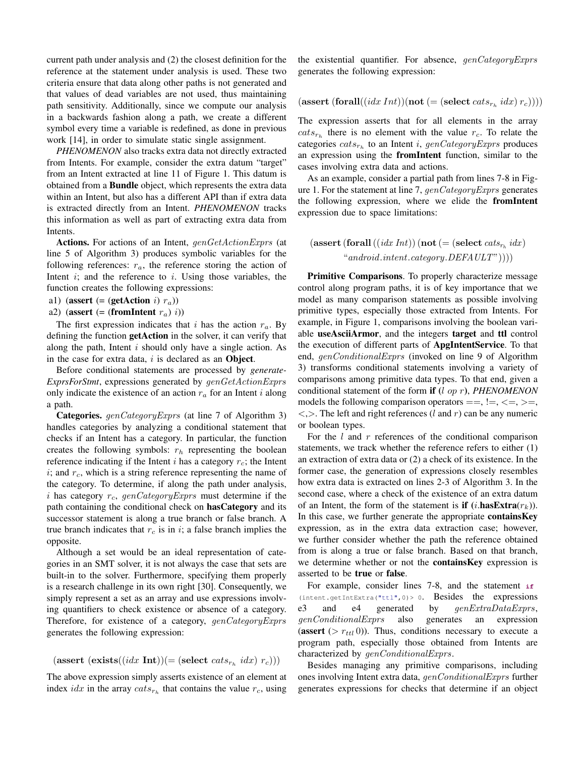current path under analysis and (2) the closest definition for the reference at the statement under analysis is used. These two criteria ensure that data along other paths is not generated and that values of dead variables are not used, thus maintaining path sensitivity. Additionally, since we compute our analysis in a backwards fashion along a path, we create a different symbol every time a variable is redefined, as done in previous work [14], in order to simulate static single assignment.

*PHENOMENON* also tracks extra data not directly extracted from Intents. For example, consider the extra datum "target" from an Intent extracted at line 11 of Figure 1. This datum is obtained from a Bundle object, which represents the extra data within an Intent, but also has a different API than if extra data is extracted directly from an Intent. *PHENOMENON* tracks this information as well as part of extracting extra data from Intents.

Actions. For actions of an Intent, genGetActionExprs (at line 5 of Algorithm 3) produces symbolic variables for the following references:  $r_a$ , the reference storing the action of Intent  $i$ ; and the reference to  $i$ . Using those variables, the function creates the following expressions:

a1) (assert (= (getAction i)  $r_a$ ))

a2) (assert (= (fromIntent  $r_a$ ) i))

The first expression indicates that i has the action  $r_a$ . By defining the function getAction in the solver, it can verify that along the path, Intent  $i$  should only have a single action. As in the case for extra data,  $i$  is declared as an Object.

Before conditional statements are processed by *generate-ExprsForStmt*, expressions generated by genGetActionExprs only indicate the existence of an action  $r_a$  for an Intent i along a path.

**Categories.** genCategoryExprs (at line 7 of Algorithm 3) handles categories by analyzing a conditional statement that checks if an Intent has a category. In particular, the function creates the following symbols:  $r<sub>h</sub>$  representing the boolean reference indicating if the Intent  $i$  has a category  $r_c$ ; the Intent  $i$ ; and  $r_c$ , which is a string reference representing the name of the category. To determine, if along the path under analysis, i has category  $r_c$ , genCategoryExprs must determine if the path containing the conditional check on hasCategory and its successor statement is along a true branch or false branch. A true branch indicates that  $r_c$  is in i; a false branch implies the opposite.

Although a set would be an ideal representation of categories in an SMT solver, it is not always the case that sets are built-in to the solver. Furthermore, specifying them properly is a research challenge in its own right [30]. Consequently, we simply represent a set as an array and use expressions involving quantifiers to check existence or absence of a category. Therefore, for existence of a category, genCategoryExprs generates the following expression:

## (assert (exists((*idx* Int))(= (select  $\text{cats}_{r_h}$  *idx*)  $r_c$ )))

The above expression simply asserts existence of an element at index *idx* in the array  $cats_{r_h}$  that contains the value  $r_c$ , using the existential quantifier. For absence, genCategoryExprs generates the following expression:

$$
(\text{assert } (\text{for all}((idx\,Int))(\text{not } (= (\text{select } cats_{r_h}idx)\,r_c))))
$$

The expression asserts that for all elements in the array  $\textit{cats}_{r_h}$  there is no element with the value  $r_c$ . To relate the categories  $cats_{r_h}$  to an Intent i, genCategoryExprs produces an expression using the fromIntent function, similar to the cases involving extra data and actions.

As an example, consider a partial path from lines 7-8 in Figure 1. For the statement at line 7,  $genCategory Express$  generates the following expression, where we elide the fromIntent expression due to space limitations:

$$
(\text{assert} (\text{for all} ((idx Int)) (\text{not} (= (\text{select} \; cats_{r_h} \; idx)\\ \text{``} \; and \text{roid}. \text{intent}.\text{category}. \text{DEFAULT''}))))
$$

Primitive Comparisons. To properly characterize message control along program paths, it is of key importance that we model as many comparison statements as possible involving primitive types, especially those extracted from Intents. For example, in Figure 1, comparisons involving the boolean variable useAsciiArmor, and the integers target and ttl control the execution of different parts of ApgIntentService. To that end, genConditionalExprs (invoked on line 9 of Algorithm 3) transforms conditional statements involving a variety of comparisons among primitive data types. To that end, given a conditional statement of the form if (l op r), *PHENOMENON* models the following comparison operators  $==, !=, <=, >=,$  $\langle \rangle$ . The left and right references (l and r) can be any numeric or boolean types.

For the  $l$  and  $r$  references of the conditional comparison statements, we track whether the reference refers to either (1) an extraction of extra data or (2) a check of its existence. In the former case, the generation of expressions closely resembles how extra data is extracted on lines 2-3 of Algorithm 3. In the second case, where a check of the existence of an extra datum of an Intent, the form of the statement is **if**  $(i.\text{hasExtra}(r_k))$ . In this case, we further generate the appropriate **containsKey** expression, as in the extra data extraction case; however, we further consider whether the path the reference obtained from is along a true or false branch. Based on that branch, we determine whether or not the **containsKey** expression is asserted to be true or false.

For example, consider lines 7-8, and the statement **if** (intent.getIntExtra("ttl",0)> 0. Besides the expressions e3 and e4 generated by  $genExtraDataExpress$ , genConditionalExprs also generates an expression (assert  $(> r_{ttl}$  0)). Thus, conditions necessary to execute a program path, especially those obtained from Intents are characterized by  $genConditionalExpress.$ 

Besides managing any primitive comparisons, including ones involving Intent extra data, genConditionalExprs further generates expressions for checks that determine if an object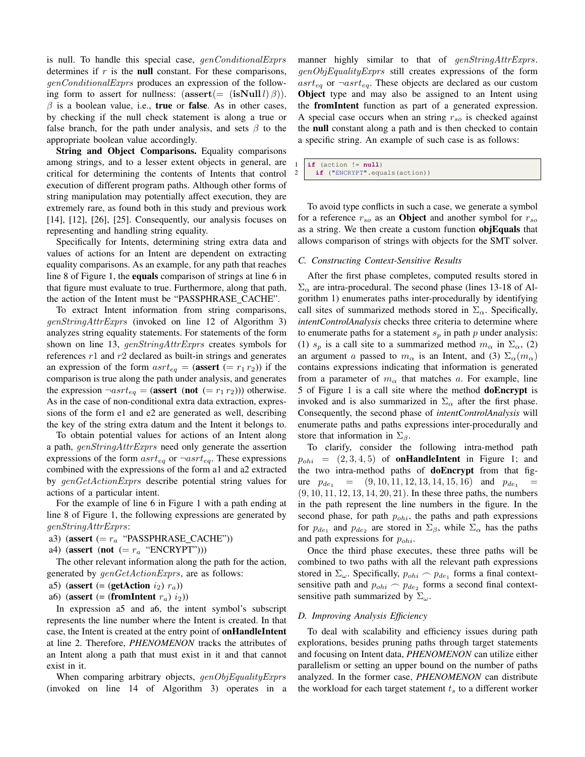is null. To handle this special case, genConditionalExprs determines if  $r$  is the null constant. For these comparisons, genConditionalExprs produces an expression of the following form to assert for nullness:  $(assert (= (isNull l) \beta)).$  $\beta$  is a boolean value, i.e., true or false. As in other cases, by checking if the null check statement is along a true or false branch, for the path under analysis, and sets  $\beta$  to the appropriate boolean value accordingly.

String and Object Comparisons. Equality comparisons among strings, and to a lesser extent objects in general, are critical for determining the contents of Intents that control execution of different program paths. Although other forms of string manipulation may potentially affect execution, they are extremely rare, as found both in this study and previous work [14], [12], [26], [25]. Consequently, our analysis focuses on representing and handling string equality.

Specifically for Intents, determining string extra data and values of actions for an Intent are dependent on extracting equality comparisons. As an example, for any path that reaches line 8 of Figure 1, the equals comparison of strings at line 6 in that figure must evaluate to true. Furthermore, along that path, the action of the Intent must be "PASSPHRASE CACHE".

To extract Intent information from string comparisons, genStringAttrExprs (invoked on line 12 of Algorithm 3) analyzes string equality statements. For statements of the form shown on line 13, genStringAttrExprs creates symbols for references  $r1$  and  $r2$  declared as built-in strings and generates an expression of the form  $asrt_{eq} = (assert \ (= r_1 r_2))$  if the comparison is true along the path under analysis, and generates the expression  $\neg astr_{eq} = (assert (not (= r_1 r_2)))$  otherwise. As in the case of non-conditional extra data extraction, expressions of the form e1 and e2 are generated as well, describing the key of the string extra datum and the Intent it belongs to.

To obtain potential values for actions of an Intent along a path, genStringAttrExprs need only generate the assertion expressions of the form  $asrt_{eq}$  or  $\neg asrt_{eq}$ . These expressions combined with the expressions of the form a1 and a2 extracted by genGetActionExprs describe potential string values for actions of a particular intent.

For the example of line 6 in Figure 1 with a path ending at line 8 of Figure 1, the following expressions are generated by genStringAttrExprs:

a3) (assert  $(= r_a$  "PASSPHRASE\_CACHE"))

a4) (assert (not  $(= r_a$  "ENCRYPT")))

The other relevant information along the path for the action, generated by  $genGetActionExpress$ , are as follows:

a5) (assert (= (getAction  $i_2$ )  $r_a$ ))

a6) (assert (= (fromIntent  $r_a$ )  $i_2$ ))

In expression a5 and a6, the intent symbol's subscript represents the line number where the Intent is created. In that case, the Intent is created at the entry point of onHandleIntent at line 2. Therefore, *PHENOMENON* tracks the attributes of an Intent along a path that must exist in it and that cannot exist in it.

When comparing arbitrary objects,  $genObjEquality Express$ (invoked on line 14 of Algorithm 3) operates in a manner highly similar to that of *genStringAttrExprs*. genObjEqualityExprs still creates expressions of the form asrt<sub>eq</sub> or  $\neg$ asrt<sub>eq</sub>. These objects are declared as our custom Object type and may also be assigned to an Intent using the fromIntent function as part of a generated expression. A special case occurs when an string  $r_{so}$  is checked against the null constant along a path and is then checked to contain a specific string. An example of such case is as follows:

 $if$  (action  $!= null$ ) 2 **if** ("ENCRYPT".equals(action))

To avoid type conflicts in such a case, we generate a symbol for a reference  $r_{so}$  as an **Object** and another symbol for  $r_{so}$ as a string. We then create a custom function objEquals that allows comparison of strings with objects for the SMT solver.

#### *C. Constructing Context-Sensitive Results*

After the first phase completes, computed results stored in  $\Sigma_{\alpha}$  are intra-procedural. The second phase (lines 13-18 of Algorithm 1) enumerates paths inter-procedurally by identifying call sites of summarized methods stored in  $\Sigma_{\alpha}$ . Specifically, *intentControlAnalysis* checks three criteria to determine where to enumerate paths for a statement  $s_p$  in path  $p$  under analysis: (1)  $s_p$  is a call site to a summarized method  $m_\alpha$  in  $\Sigma_\alpha$ , (2) an argument a passed to  $m_\alpha$  is an Intent, and (3)  $\Sigma_\alpha(m_\alpha)$ contains expressions indicating that information is generated from a parameter of  $m_{\alpha}$  that matches a. For example, line 5 of Figure 1 is a call site where the method doEncrypt is invoked and is also summarized in  $\Sigma_{\alpha}$  after the first phase. Consequently, the second phase of *intentControlAnalysis* will enumerate paths and paths expressions inter-procedurally and store that information in  $\Sigma_{\beta}$ .

To clarify, consider the following intra-method path  $p_{ohi}$  =  $(2,3,4,5)$  of **onHandleIntent** in Figure 1; and the two intra-method paths of doEncrypt from that figure  $p_{de_1} = (9, 10, 11, 12, 13, 14, 15, 16)$  and  $p_{de_1}$ (9, 10, 11, 12, 13, 14, 20, 21). In these three paths, the numbers in the path represent the line numbers in the figure. In the second phase, for path  $p_{ohi}$ , the paths and path expressions for  $p_{de_1}$  and  $p_{de_2}$  are stored in  $\Sigma_\beta$ , while  $\Sigma_\alpha$  has the paths and path expressions for  $p_{ohi}$ .

Once the third phase executes, these three paths will be combined to two paths with all the relevant path expressions stored in  $\Sigma_{\omega}$ . Specifically,  $p_{ohi} \frown p_{de_1}$  forms a final contextsensitive path and  $p_{ohi} \frown p_{de_2}$  forms a second final contextsensitive path summarized by  $\Sigma_{\omega}$ .

## *D. Improving Analysis Efficiency*

To deal with scalability and efficiency issues during path explorations, besides pruning paths through target statements and focusing on Intent data, *PHENOMENON* can utilize either parallelism or setting an upper bound on the number of paths analyzed. In the former case, *PHENOMENON* can distribute the workload for each target statement  $t_s$  to a different worker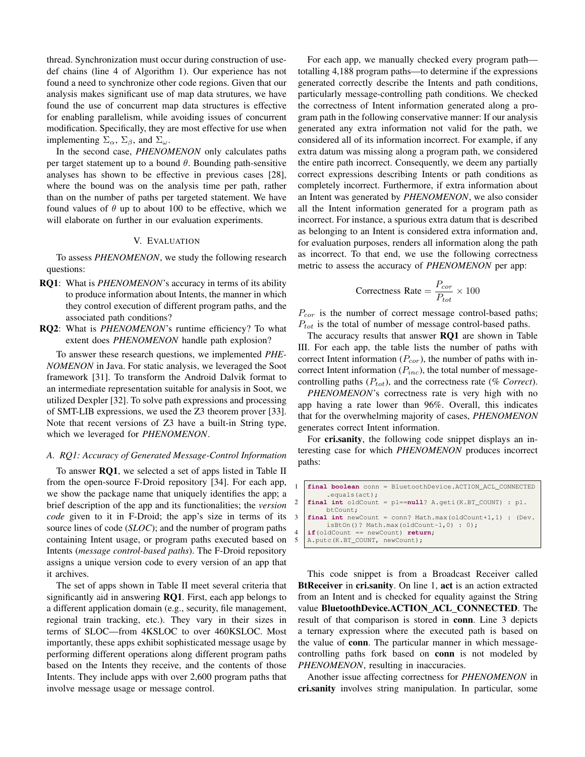thread. Synchronization must occur during construction of usedef chains (line 4 of Algorithm 1). Our experience has not found a need to synchronize other code regions. Given that our analysis makes significant use of map data strutures, we have found the use of concurrent map data structures is effective for enabling parallelism, while avoiding issues of concurrent modification. Specifically, they are most effective for use when implementing  $\Sigma_{\alpha}$ ,  $\Sigma_{\beta}$ , and  $\Sigma_{\omega}$ .

In the second case, *PHENOMENON* only calculates paths per target statement up to a bound  $\theta$ . Bounding path-sensitive analyses has shown to be effective in previous cases [28], where the bound was on the analysis time per path, rather than on the number of paths per targeted statement. We have found values of  $\theta$  up to about 100 to be effective, which we will elaborate on further in our evaluation experiments.

### V. EVALUATION

To assess *PHENOMENON*, we study the following research questions:

- RQ1: What is *PHENOMENON*'s accuracy in terms of its ability to produce information about Intents, the manner in which they control execution of different program paths, and the associated path conditions?
- RQ2: What is *PHENOMENON*'s runtime efficiency? To what extent does *PHENOMENON* handle path explosion?

To answer these research questions, we implemented *PHE-NOMENON* in Java. For static analysis, we leveraged the Soot framework [31]. To transform the Android Dalvik format to an intermediate representation suitable for analysis in Soot, we utilized Dexpler [32]. To solve path expressions and processing of SMT-LIB expressions, we used the Z3 theorem prover [33]. Note that recent versions of Z3 have a built-in String type, which we leveraged for *PHENOMENON*.

## *A. RQ1: Accuracy of Generated Message-Control Information*

To answer RQ1, we selected a set of apps listed in Table II from the open-source F-Droid repository [34]. For each app, we show the package name that uniquely identifies the app; a brief description of the app and its functionalities; the *version code* given to it in F-Droid; the app's size in terms of its source lines of code (*SLOC*); and the number of program paths containing Intent usage, or program paths executed based on Intents (*message control-based paths*). The F-Droid repository assigns a unique version code to every version of an app that it archives.

The set of apps shown in Table II meet several criteria that significantly aid in answering  $RQ1$ . First, each app belongs to a different application domain (e.g., security, file management, regional train tracking, etc.). They vary in their sizes in terms of SLOC—from 4KSLOC to over 460KSLOC. Most importantly, these apps exhibit sophisticated message usage by performing different operations along different program paths based on the Intents they receive, and the contents of those Intents. They include apps with over 2,600 program paths that involve message usage or message control.

For each app, we manually checked every program path totalling 4,188 program paths—to determine if the expressions generated correctly describe the Intents and path conditions, particularly message-controlling path conditions. We checked the correctness of Intent information generated along a program path in the following conservative manner: If our analysis generated any extra information not valid for the path, we considered all of its information incorrect. For example, if any extra datum was missing along a program path, we considered the entire path incorrect. Consequently, we deem any partially correct expressions describing Intents or path conditions as completely incorrect. Furthermore, if extra information about an Intent was generated by *PHENOMENON*, we also consider all the Intent information generated for a program path as incorrect. For instance, a spurious extra datum that is described as belonging to an Intent is considered extra information and, for evaluation purposes, renders all information along the path as incorrect. To that end, we use the following correctness metric to assess the accuracy of *PHENOMENON* per app:

$$
Correctness Rate = \frac{P_{cor}}{P_{tot}} \times 100
$$

 $P_{cor}$  is the number of correct message control-based paths;  $P_{tot}$  is the total of number of message control-based paths.

The accuracy results that answer RQ1 are shown in Table III. For each app, the table lists the number of paths with correct Intent information  $(P_{cor})$ , the number of paths with incorrect Intent information  $(P_{inc})$ , the total number of messagecontrolling paths  $(P_{tot})$ , and the correctness rate (% Correct).

*PHENOMENON*'s correctness rate is very high with no app having a rate lower than 96%. Overall, this indicates that for the overwhelming majority of cases, *PHENOMENON* generates correct Intent information.

For cri.sanity, the following code snippet displays an interesting case for which *PHENOMENON* produces incorrect paths:

| 1   final boolean conn = BluetoothDevice.ACTION_ACL_CONNECTED       |
|---------------------------------------------------------------------|
| $.equals(\text{act}):$                                              |
| 2   final int oldCount = $pl == null$ ? A.geti(K.BT_COUNT) : $pl$ . |
| btCount:                                                            |
| $3$   final int new Count = conn? Math.max (old Count+1, 1) : (Dev. |
| $isBton()$ ? Math.max(oldCount-1,0) : 0);                           |
| $4$   if(oldCount == newCount) return;                              |
| 5   A.putc(K.BT_COUNT, newCount);                                   |

This code snippet is from a Broadcast Receiver called BtReceiver in cri.sanity. On line 1, act is an action extracted from an Intent and is checked for equality against the String value BluetoothDevice.ACTION\_ACL\_CONNECTED. The result of that comparison is stored in conn. Line 3 depicts a ternary expression where the executed path is based on the value of conn. The particular manner in which messagecontrolling paths fork based on conn is not modeled by *PHENOMENON*, resulting in inaccuracies.

Another issue affecting correctness for *PHENOMENON* in cri.sanity involves string manipulation. In particular, some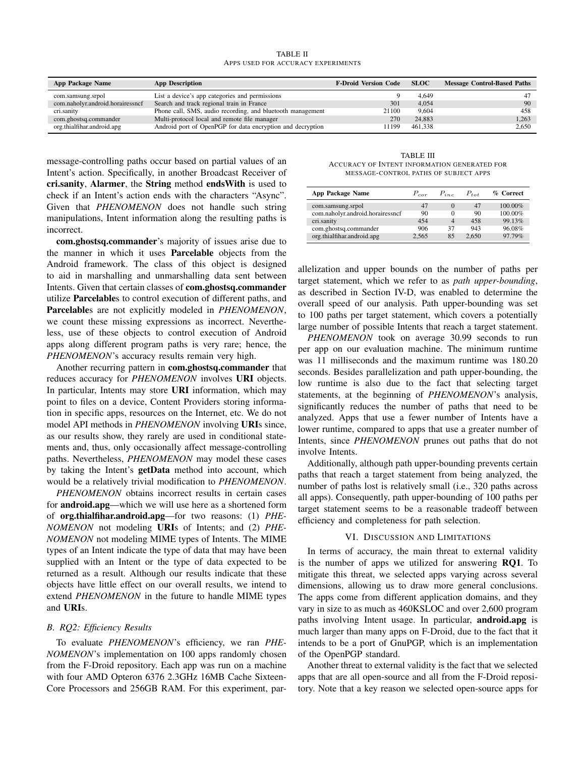TABLE II APPS USED FOR ACCURACY EXPERIMENTS

| App Package Name                 | <b>App Description</b>                                     | <b>F-Droid Version Code</b> | <b>SLOC</b> | <b>Message Control-Based Paths</b> |
|----------------------------------|------------------------------------------------------------|-----------------------------|-------------|------------------------------------|
| com.samsung.srpol                | List a device's app categories and permissions             |                             | 4.649       |                                    |
| com.naholyr.android.horairessncf | Search and track regional train in France                  | 301                         | 4.054       | 90                                 |
| cri.sanity                       | Phone call, SMS, audio recording, and bluetooth management | 21100                       | 9.604       | 458                                |
| com.ghostsq.commander            | Multi-protocol local and remote file manager               | 270                         | 24.883      | 1.263                              |
| org.thialfihar.android.apg       | Android port of OpenPGP for data encryption and decryption | 1199                        | 461.338     | 2.650                              |

message-controlling paths occur based on partial values of an Intent's action. Specifically, in another Broadcast Receiver of cri.sanity, Alarmer, the String method endsWith is used to check if an Intent's action ends with the characters "Async". Given that *PHENOMENON* does not handle such string manipulations, Intent information along the resulting paths is incorrect.

com.ghostsq.commander's majority of issues arise due to the manner in which it uses Parcelable objects from the Android framework. The class of this object is designed to aid in marshalling and unmarshalling data sent between Intents. Given that certain classes of com.ghostsq.commander utilize Parcelables to control execution of different paths, and Parcelables are not explicitly modeled in *PHENOMENON*, we count these missing expressions as incorrect. Nevertheless, use of these objects to control execution of Android apps along different program paths is very rare; hence, the *PHENOMENON*'s accuracy results remain very high.

Another recurring pattern in com.ghostsq.commander that reduces accuracy for *PHENOMENON* involves URI objects. In particular, Intents may store URI information, which may point to files on a device, Content Providers storing information in specific apps, resources on the Internet, etc. We do not model API methods in *PHENOMENON* involving URIs since, as our results show, they rarely are used in conditional statements and, thus, only occasionally affect message-controlling paths. Nevertheless, *PHENOMENON* may model these cases by taking the Intent's getData method into account, which would be a relatively trivial modification to *PHENOMENON*.

*PHENOMENON* obtains incorrect results in certain cases for android.apg—which we will use here as a shortened form of org.thialfihar.android.apg—for two reasons: (1) *PHE-NOMENON* not modeling URIs of Intents; and (2) *PHE-NOMENON* not modeling MIME types of Intents. The MIME types of an Intent indicate the type of data that may have been supplied with an Intent or the type of data expected to be returned as a result. Although our results indicate that these objects have little effect on our overall results, we intend to extend *PHENOMENON* in the future to handle MIME types and URIs.

## *B. RQ2: Efficiency Results*

To evaluate *PHENOMENON*'s efficiency, we ran *PHE-NOMENON*'s implementation on 100 apps randomly chosen from the F-Droid repository. Each app was run on a machine with four AMD Opteron 6376 2.3GHz 16MB Cache Sixteen-Core Processors and 256GB RAM. For this experiment, par-

TABLE III ACCURACY OF INTENT INFORMATION GENERATED FOR MESSAGE-CONTROL PATHS OF SUBJECT APPS

| <b>App Package Name</b>          | $P_{cor}$ | $P_{inc}$                | $P_{tot}$ | % Correct |
|----------------------------------|-----------|--------------------------|-----------|-----------|
| com.samsung.srpol                | 47        | $\theta$                 | 47        | 100.00%   |
| com.naholyr.android.horairessncf | 90        | $_{0}$                   | 90        | 100.00%   |
| cri.sanity                       | 454       | $\overline{\mathcal{A}}$ | 458       | 99.13%    |
| com.ghostsq.commander            | 906       | 37                       | 943       | 96.08%    |
| org.thialfihar.android.apg       | 2.565     | 85                       | 2.650     | 97.79%    |

allelization and upper bounds on the number of paths per target statement, which we refer to as *path upper-bounding*, as described in Section IV-D, was enabled to determine the overall speed of our analysis. Path upper-bounding was set to 100 paths per target statement, which covers a potentially large number of possible Intents that reach a target statement.

*PHENOMENON* took on average 30.99 seconds to run per app on our evaluation machine. The minimum runtime was 11 milliseconds and the maximum runtime was 180.20 seconds. Besides parallelization and path upper-bounding, the low runtime is also due to the fact that selecting target statements, at the beginning of *PHENOMENON*'s analysis, significantly reduces the number of paths that need to be analyzed. Apps that use a fewer number of Intents have a lower runtime, compared to apps that use a greater number of Intents, since *PHENOMENON* prunes out paths that do not involve Intents.

Additionally, although path upper-bounding prevents certain paths that reach a target statement from being analyzed, the number of paths lost is relatively small (i.e., 320 paths across all apps). Consequently, path upper-bounding of 100 paths per target statement seems to be a reasonable tradeoff between efficiency and completeness for path selection.

## VI. DISCUSSION AND LIMITATIONS

In terms of accuracy, the main threat to external validity is the number of apps we utilized for answering RQ1. To mitigate this threat, we selected apps varying across several dimensions, allowing us to draw more general conclusions. The apps come from different application domains, and they vary in size to as much as 460KSLOC and over 2,600 program paths involving Intent usage. In particular, **android.apg** is much larger than many apps on F-Droid, due to the fact that it intends to be a port of GnuPGP, which is an implementation of the OpenPGP standard.

Another threat to external validity is the fact that we selected apps that are all open-source and all from the F-Droid repository. Note that a key reason we selected open-source apps for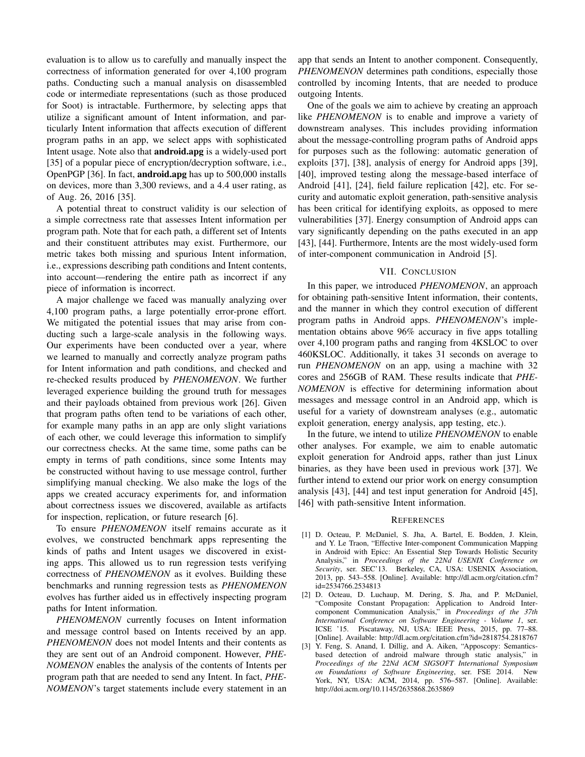evaluation is to allow us to carefully and manually inspect the correctness of information generated for over 4,100 program paths. Conducting such a manual analysis on disassembled code or intermediate representations (such as those produced for Soot) is intractable. Furthermore, by selecting apps that utilize a significant amount of Intent information, and particularly Intent information that affects execution of different program paths in an app, we select apps with sophisticated Intent usage. Note also that android.apg is a widely-used port [35] of a popular piece of encryption/decryption software, i.e., OpenPGP [36]. In fact, android.apg has up to 500,000 installs on devices, more than 3,300 reviews, and a 4.4 user rating, as of Aug. 26, 2016 [35].

A potential threat to construct validity is our selection of a simple correctness rate that assesses Intent information per program path. Note that for each path, a different set of Intents and their constituent attributes may exist. Furthermore, our metric takes both missing and spurious Intent information, i.e., expressions describing path conditions and Intent contents, into account—rendering the entire path as incorrect if any piece of information is incorrect.

A major challenge we faced was manually analyzing over 4,100 program paths, a large potentially error-prone effort. We mitigated the potential issues that may arise from conducting such a large-scale analysis in the following ways. Our experiments have been conducted over a year, where we learned to manually and correctly analyze program paths for Intent information and path conditions, and checked and re-checked results produced by *PHENOMENON*. We further leveraged experience building the ground truth for messages and their payloads obtained from previous work [26]. Given that program paths often tend to be variations of each other, for example many paths in an app are only slight variations of each other, we could leverage this information to simplify our correctness checks. At the same time, some paths can be empty in terms of path conditions, since some Intents may be constructed without having to use message control, further simplifying manual checking. We also make the logs of the apps we created accuracy experiments for, and information about correctness issues we discovered, available as artifacts for inspection, replication, or future research [6].

To ensure *PHENOMENON* itself remains accurate as it evolves, we constructed benchmark apps representing the kinds of paths and Intent usages we discovered in existing apps. This allowed us to run regression tests verifying correctness of *PHENOMENON* as it evolves. Building these benchmarks and running regression tests as *PHENOMENON* evolves has further aided us in effectively inspecting program paths for Intent information.

*PHENOMENON* currently focuses on Intent information and message control based on Intents received by an app. *PHENOMENON* does not model Intents and their contents as they are sent out of an Android component. However, *PHE-NOMENON* enables the analysis of the contents of Intents per program path that are needed to send any Intent. In fact, *PHE-NOMENON*'s target statements include every statement in an app that sends an Intent to another component. Consequently, *PHENOMENON* determines path conditions, especially those controlled by incoming Intents, that are needed to produce outgoing Intents.

One of the goals we aim to achieve by creating an approach like *PHENOMENON* is to enable and improve a variety of downstream analyses. This includes providing information about the message-controlling program paths of Android apps for purposes such as the following: automatic generation of exploits [37], [38], analysis of energy for Android apps [39], [40], improved testing along the message-based interface of Android [41], [24], field failure replication [42], etc. For security and automatic exploit generation, path-sensitive analysis has been critical for identifying exploits, as opposed to mere vulnerabilities [37]. Energy consumption of Android apps can vary significantly depending on the paths executed in an app [43], [44]. Furthermore, Intents are the most widely-used form of inter-component communication in Android [5].

## VII. CONCLUSION

In this paper, we introduced *PHENOMENON*, an approach for obtaining path-sensitive Intent information, their contents, and the manner in which they control execution of different program paths in Android apps. *PHENOMENON*'s implementation obtains above 96% accuracy in five apps totalling over 4,100 program paths and ranging from 4KSLOC to over 460KSLOC. Additionally, it takes 31 seconds on average to run *PHENOMENON* on an app, using a machine with 32 cores and 256GB of RAM. These results indicate that *PHE-NOMENON* is effective for determining information about messages and message control in an Android app, which is useful for a variety of downstream analyses (e.g., automatic exploit generation, energy analysis, app testing, etc.).

In the future, we intend to utilize *PHENOMENON* to enable other analyses. For example, we aim to enable automatic exploit generation for Android apps, rather than just Linux binaries, as they have been used in previous work [37]. We further intend to extend our prior work on energy consumption analysis [43], [44] and test input generation for Android [45], [46] with path-sensitive Intent information.

#### **REFERENCES**

- [1] D. Octeau, P. McDaniel, S. Jha, A. Bartel, E. Bodden, J. Klein, and Y. Le Traon, "Effective Inter-component Communication Mapping in Android with Epicc: An Essential Step Towards Holistic Security Analysis," in *Proceedings of the 22Nd USENIX Conference on Security*, ser. SEC'13. Berkeley, CA, USA: USENIX Association, 2013, pp. 543–558. [Online]. Available: http://dl.acm.org/citation.cfm? id=2534766.2534813
- [2] D. Octeau, D. Luchaup, M. Dering, S. Jha, and P. McDaniel, "Composite Constant Propagation: Application to Android Intercomponent Communication Analysis," in *Proceedings of the 37th International Conference on Software Engineering - Volume 1*, ser. ICSE '15. Piscataway, NJ, USA: IEEE Press, 2015, pp. 77–88. [Online]. Available: http://dl.acm.org/citation.cfm?id=2818754.2818767
- [3] Y. Feng, S. Anand, I. Dillig, and A. Aiken, "Apposcopy: Semanticsbased detection of android malware through static analysis," in *Proceedings of the 22Nd ACM SIGSOFT International Symposium on Foundations of Software Engineering*, ser. FSE 2014. New York, NY, USA: ACM, 2014, pp. 576–587. [Online]. Available: http://doi.acm.org/10.1145/2635868.2635869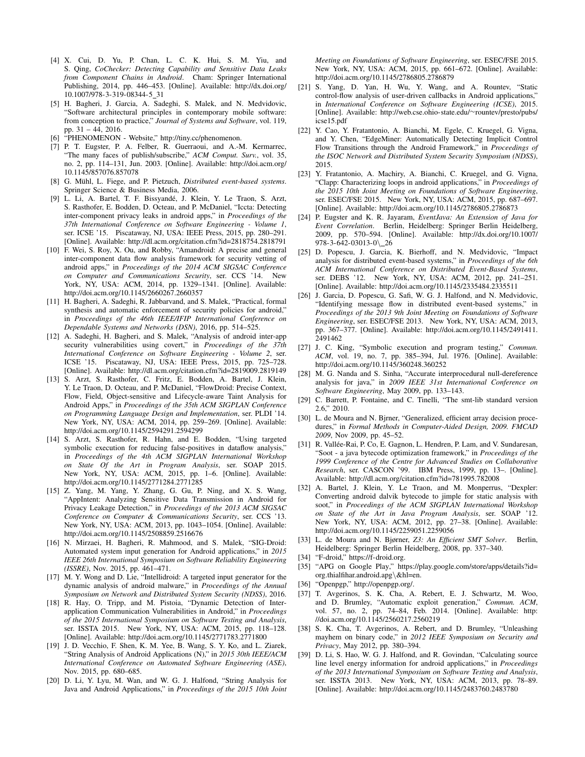- [4] X. Cui, D. Yu, P. Chan, L. C. K. Hui, S. M. Yiu, and S. Qing, *CoChecker: Detecting Capability and Sensitive Data Leaks from Component Chains in Android*. Cham: Springer International Publishing, 2014, pp. 446–453. [Online]. Available: http://dx.doi.org/ 10.1007/978-3-319-08344-5 31
- [5] H. Bagheri, J. Garcia, A. Sadeghi, S. Malek, and N. Medvidovic, "Software architectural principles in contemporary mobile software: from conception to practice," *Journal of Systems and Software*, vol. 119, pp. 31 – 44, 2016.
- "PHENOMENON Website," http://tiny.cc/phenomenon.
- [7] P. T. Eugster, P. A. Felber, R. Guerraoui, and A.-M. Kermarrec, "The many faces of publish/subscribe," *ACM Comput. Surv.*, vol. 35, no. 2, pp. 114–131, Jun. 2003. [Online]. Available: http://doi.acm.org/ 10.1145/857076.857078
- [8] G. Mühl, L. Fiege, and P. Pietzuch, *Distributed event-based systems*. Springer Science & Business Media, 2006.
- [9] L. Li, A. Bartel, T. F. Bissyandé, J. Klein, Y. Le Traon, S. Arzt, S. Rasthofer, E. Bodden, D. Octeau, and P. McDaniel, "Iccta: Detecting inter-component privacy leaks in android apps," in *Proceedings of the 37th International Conference on Software Engineering - Volume 1*, ser. ICSE '15. Piscataway, NJ, USA: IEEE Press, 2015, pp. 280–291. [Online]. Available: http://dl.acm.org/citation.cfm?id=2818754.2818791
- [10] F. Wei, S. Roy, X. Ou, and Robby, "Amandroid: A precise and general inter-component data flow analysis framework for security vetting of android apps," in *Proceedings of the 2014 ACM SIGSAC Conference on Computer and Communications Security*, ser. CCS '14. New York, NY, USA: ACM, 2014, pp. 1329–1341. [Online]. Available: http://doi.acm.org/10.1145/2660267.2660357
- [11] H. Bagheri, A. Sadeghi, R. Jabbarvand, and S. Malek, "Practical, formal synthesis and automatic enforcement of security policies for android," in *Proceedings of the 46th IEEE/IFIP International Conference on Dependable Systems and Networks (DSN)*, 2016, pp. 514–525.
- [12] A. Sadeghi, H. Bagheri, and S. Malek, "Analysis of android inter-app security vulnerabilities using covert," in *Proceedings of the 37th International Conference on Software Engineering - Volume 2*, ser. ICSE '15. Piscataway, NJ, USA: IEEE Press, 2015, pp. 725–728. [Online]. Available: http://dl.acm.org/citation.cfm?id=2819009.2819149
- [13] S. Arzt, S. Rasthofer, C. Fritz, E. Bodden, A. Bartel, J. Klein, Y. Le Traon, D. Octeau, and P. McDaniel, "FlowDroid: Precise Context, Flow, Field, Object-sensitive and Lifecycle-aware Taint Analysis for Android Apps," in *Proceedings of the 35th ACM SIGPLAN Conference on Programming Language Design and Implementation*, ser. PLDI '14. New York, NY, USA: ACM, 2014, pp. 259–269. [Online]. Available: http://doi.acm.org/10.1145/2594291.2594299
- [14] S. Arzt, S. Rasthofer, R. Hahn, and E. Bodden, "Using targeted symbolic execution for reducing false-positives in dataflow analysis," in *Proceedings of the 4th ACM SIGPLAN International Workshop on State Of the Art in Program Analysis*, ser. SOAP 2015. New York, NY, USA: ACM, 2015, pp. 1–6. [Online]. Available: http://doi.acm.org/10.1145/2771284.2771285
- [15] Z. Yang, M. Yang, Y. Zhang, G. Gu, P. Ning, and X. S. Wang, "AppIntent: Analyzing Sensitive Data Transmission in Android for Privacy Leakage Detection," in *Proceedings of the 2013 ACM SIGSAC Conference on Computer & Communications Security*, ser. CCS '13. New York, NY, USA: ACM, 2013, pp. 1043–1054. [Online]. Available: http://doi.acm.org/10.1145/2508859.2516676
- [16] N. Mirzaei, H. Bagheri, R. Mahmood, and S. Malek, "SIG-Droid: Automated system input generation for Android applications," in *2015 IEEE 26th International Symposium on Software Reliability Engineering (ISSRE)*, Nov. 2015, pp. 461–471.
- [17] M. Y. Wong and D. Lie, "Intellidroid: A targeted input generator for the dynamic analysis of android malware," in *Proceedings of the Annual Symposium on Network and Distributed System Security (NDSS)*, 2016.
- [18] R. Hay, O. Tripp, and M. Pistoia, "Dynamic Detection of Interapplication Communication Vulnerabilities in Android," in *Proceedings of the 2015 International Symposium on Software Testing and Analysis*, ser. ISSTA 2015. New York, NY, USA: ACM, 2015, pp. 118–128. [Online]. Available: http://doi.acm.org/10.1145/2771783.2771800
- [19] J. D. Vecchio, F. Shen, K. M. Yee, B. Wang, S. Y. Ko, and L. Ziarek, "String Analysis of Android Applications (N)," in *2015 30th IEEE/ACM International Conference on Automated Software Engineering (ASE)*, Nov. 2015, pp. 680–685.
- [20] D. Li, Y. Lyu, M. Wan, and W. G. J. Halfond, "String Analysis for Java and Android Applications," in *Proceedings of the 2015 10th Joint*

*Meeting on Foundations of Software Engineering*, ser. ESEC/FSE 2015. New York, NY, USA: ACM, 2015, pp. 661–672. [Online]. Available: http://doi.acm.org/10.1145/2786805.2786879

- [21] S. Yang, D. Yan, H. Wu, Y. Wang, and A. Rountev, "Static control-flow analysis of user-driven callbacks in Android applications," in *International Conference on Software Engineering (ICSE)*, 2015. [Online]. Available: http://web.cse.ohio-state.edu/∼rountev/presto/pubs/ icse15.pdf
- [22] Y. Cao, Y. Fratantonio, A. Bianchi, M. Egele, C. Kruegel, G. Vigna, and Y. Chen, "EdgeMiner: Automatically Detecting Implicit Control Flow Transitions through the Android Framework," in *Proceedings of the ISOC Network and Distributed System Security Symposium (NDSS)*, 2015.
- [23] Y. Fratantonio, A. Machiry, A. Bianchi, C. Kruegel, and G. Vigna, "Clapp: Characterizing loops in android applications," in *Proceedings of the 2015 10th Joint Meeting on Foundations of Software Engineering*, ser. ESEC/FSE 2015. New York, NY, USA: ACM, 2015, pp. 687–697. [Online]. Available: http://doi.acm.org/10.1145/2786805.2786873
- [24] P. Eugster and K. R. Jayaram, *EventJava: An Extension of Java for Event Correlation*. Berlin, Heidelberg: Springer Berlin Heidelberg, 2009, pp. 570–594. [Online]. Available: http://dx.doi.org/10.1007/ 978-3-642-03013-0\ 26
- [25] D. Popescu, J. Garcia, K. Bierhoff, and N. Medvidovic, "Impact analysis for distributed event-based systems," in *Proceedings of the 6th ACM International Conference on Distributed Event-Based Systems*, ser. DEBS '12. New York, NY, USA: ACM, 2012, pp. 241–251. [Online]. Available: http://doi.acm.org/10.1145/2335484.2335511
- [26] J. Garcia, D. Popescu, G. Safi, W. G. J. Halfond, and N. Medvidovic, "Identifying message flow in distributed event-based systems," in *Proceedings of the 2013 9th Joint Meeting on Foundations of Software Engineering*, ser. ESEC/FSE 2013. New York, NY, USA: ACM, 2013, pp. 367–377. [Online]. Available: http://doi.acm.org/10.1145/2491411. 2491462
- [27] J. C. King, "Symbolic execution and program testing," *Commun. ACM*, vol. 19, no. 7, pp. 385–394, Jul. 1976. [Online]. Available: http://doi.acm.org/10.1145/360248.360252
- [28] M. G. Nanda and S. Sinha, "Accurate interprocedural null-dereference analysis for java," in *2009 IEEE 31st International Conference on Software Engineering*, May 2009, pp. 133–143.
- [29] C. Barrett, P. Fontaine, and C. Tinelli, "The smt-lib standard version 2.6," 2010.
- [30] L. de Moura and N. Bjrner, "Generalized, efficient array decision procedures," in *Formal Methods in Computer-Aided Design, 2009. FMCAD 2009*, Nov 2009, pp. 45–52.
- [31] R. Vallée-Rai, P. Co, E. Gagnon, L. Hendren, P. Lam, and V. Sundaresan, "Soot - a java bytecode optimization framework," in *Proceedings of the 1999 Conference of the Centre for Advanced Studies on Collaborative Research*, ser. CASCON '99. IBM Press, 1999, pp. 13–. [Online]. Available: http://dl.acm.org/citation.cfm?id=781995.782008
- [32] A. Bartel, J. Klein, Y. Le Traon, and M. Monperrus, "Dexpler: Converting android dalvik bytecode to jimple for static analysis with soot," in *Proceedings of the ACM SIGPLAN International Workshop on State of the Art in Java Program Analysis*, ser. SOAP '12. New York, NY, USA: ACM, 2012, pp. 27–38. [Online]. Available: http://doi.acm.org/10.1145/2259051.2259056
- [33] L. de Moura and N. Bjørner, *Z3: An Efficient SMT Solver*. Berlin, Heidelberg: Springer Berlin Heidelberg, 2008, pp. 337–340.
- [34] "F-droid," https://f-droid.org.
- [35] "APG on Google Play," https://play.google.com/store/apps/details?id= org.thialfihar.android.apg\&hl=en.
- [36] "Openpgp," http://openpgp.org/.
- [37] T. Avgerinos, S. K. Cha, A. Rebert, E. J. Schwartz, M. Woo, and D. Brumley, "Automatic exploit generation," *Commun. ACM*, vol. 57, no. 2, pp. 74–84, Feb. 2014. [Online]. Available: http: //doi.acm.org/10.1145/2560217.2560219
- [38] S. K. Cha, T. Avgerinos, A. Rebert, and D. Brumley, "Unleashing mayhem on binary code," in *2012 IEEE Symposium on Security and Privacy*, May 2012, pp. 380–394.
- [39] D. Li, S. Hao, W. G. J. Halfond, and R. Govindan, "Calculating source line level energy information for android applications," in *Proceedings of the 2013 International Symposium on Software Testing and Analysis*, ser. ISSTA 2013. New York, NY, USA: ACM, 2013, pp. 78–89. [Online]. Available: http://doi.acm.org/10.1145/2483760.2483780